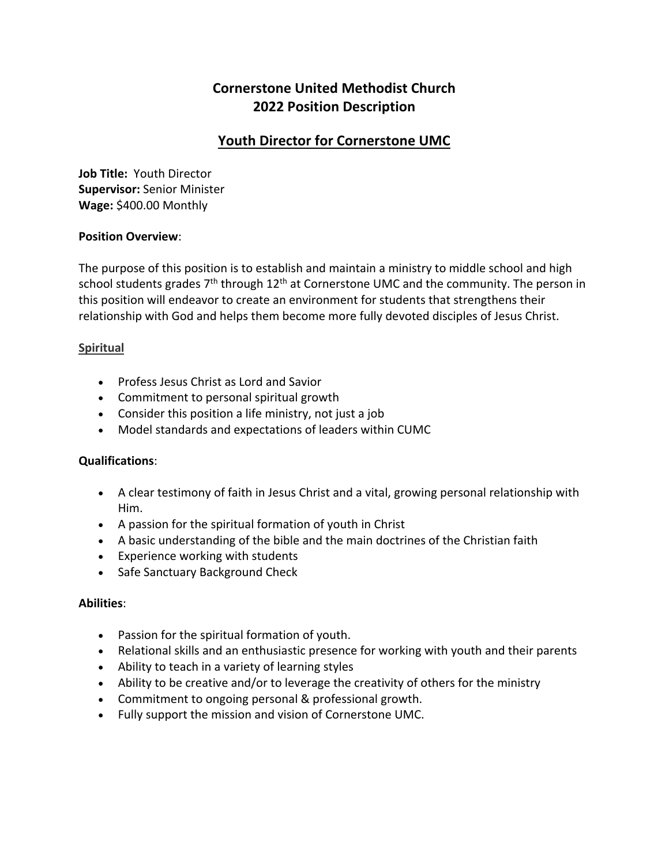# **Cornerstone United Methodist Church 2022 Position Description**

## **Youth Director for Cornerstone UMC**

**Job Title:** Youth Director **Supervisor:** Senior Minister **Wage:** \$400.00 Monthly

#### **Position Overview**:

The purpose of this position is to establish and maintain a ministry to middle school and high school students grades  $7<sup>th</sup>$  through  $12<sup>th</sup>$  at Cornerstone UMC and the community. The person in this position will endeavor to create an environment for students that strengthens their relationship with God and helps them become more fully devoted disciples of Jesus Christ.

#### **Spiritual**

- Profess Jesus Christ as Lord and Savior
- Commitment to personal spiritual growth
- Consider this position a life ministry, not just a job
- Model standards and expectations of leaders within CUMC

#### **Qualifications**:

- A clear testimony of faith in Jesus Christ and a vital, growing personal relationship with Him.
- A passion for the spiritual formation of youth in Christ
- A basic understanding of the bible and the main doctrines of the Christian faith
- Experience working with students
- Safe Sanctuary Background Check

#### **Abilities**:

- Passion for the spiritual formation of youth.
- Relational skills and an enthusiastic presence for working with youth and their parents
- Ability to teach in a variety of learning styles
- Ability to be creative and/or to leverage the creativity of others for the ministry
- Commitment to ongoing personal & professional growth.
- Fully support the mission and vision of Cornerstone UMC.